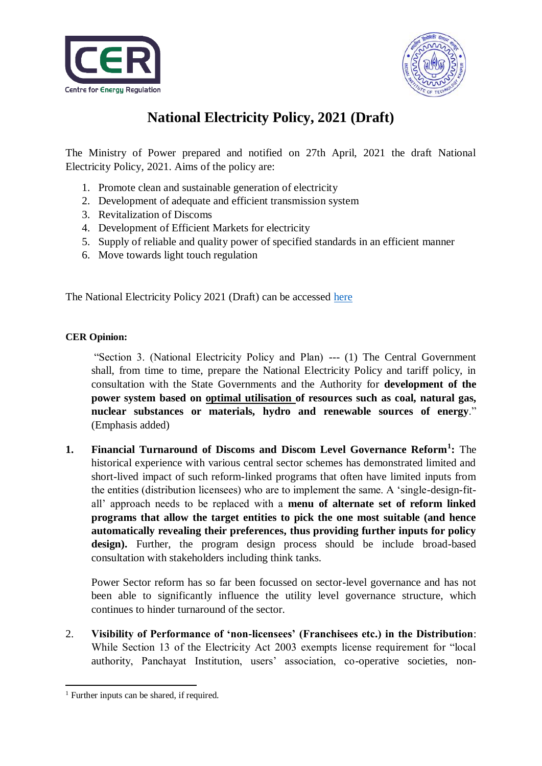



## **National Electricity Policy, 2021 (Draft)**

The Ministry of Power prepared and notified on 27th April, 2021 the draft National Electricity Policy, 2021. Aims of the policy are:

- 1. Promote clean and sustainable generation of electricity
- 2. Development of adequate and efficient transmission system
- 3. Revitalization of Discoms
- 4. Development of Efficient Markets for electricity
- 5. Supply of reliable and quality power of specified standards in an efficient manner
- 6. Move towards light touch regulation

The National Electricity Policy 2021 (Draft) can be accessed [here](https://cer.iitk.ac.in/odf_assets/upload_files/Inviting_suggestions_on_draft_NEP_2021.pdf)

## **CER Opinion:**

"Section 3. (National Electricity Policy and Plan) --- (1) The Central Government shall, from time to time, prepare the National Electricity Policy and tariff policy, in consultation with the State Governments and the Authority for **development of the power system based on optimal utilisation of resources such as coal, natural gas, nuclear substances or materials, hydro and renewable sources of energy**." (Emphasis added)

**1. Financial Turnaround of Discoms and Discom Level Governance Reform<sup>1</sup> :** The historical experience with various central sector schemes has demonstrated limited and short-lived impact of such reform-linked programs that often have limited inputs from the entities (distribution licensees) who are to implement the same. A 'single-design-fitall' approach needs to be replaced with a **menu of alternate set of reform linked programs that allow the target entities to pick the one most suitable (and hence automatically revealing their preferences, thus providing further inputs for policy**  design). Further, the program design process should be include broad-based consultation with stakeholders including think tanks.

Power Sector reform has so far been focussed on sector-level governance and has not been able to significantly influence the utility level governance structure, which continues to hinder turnaround of the sector.

2. **Visibility of Performance of 'non-licensees' (Franchisees etc.) in the Distribution**: While Section 13 of the Electricity Act 2003 exempts license requirement for "local authority, Panchayat Institution, users' association, co-operative societies, non-

<sup>-</sup><sup>1</sup> Further inputs can be shared, if required.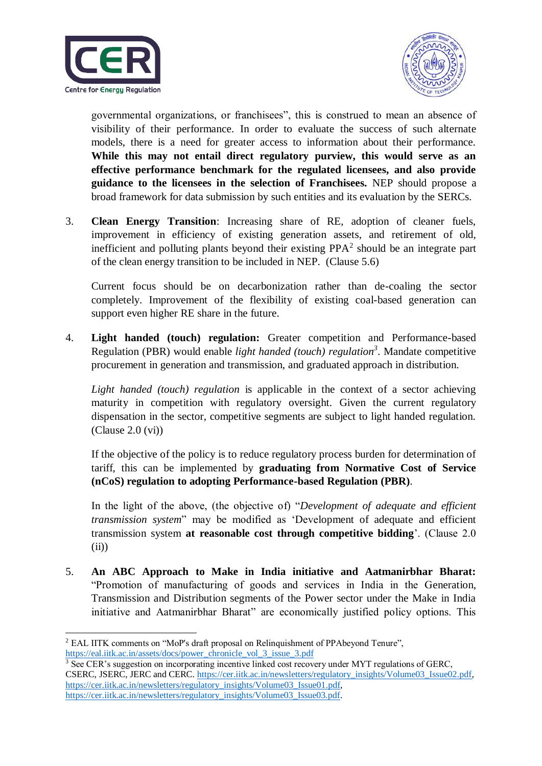



governmental organizations, or franchisees", this is construed to mean an absence of visibility of their performance. In order to evaluate the success of such alternate models, there is a need for greater access to information about their performance. **While this may not entail direct regulatory purview, this would serve as an effective performance benchmark for the regulated licensees, and also provide guidance to the licensees in the selection of Franchisees.** NEP should propose a broad framework for data submission by such entities and its evaluation by the SERCs.

3. **Clean Energy Transition**: Increasing share of RE, adoption of cleaner fuels, improvement in efficiency of existing generation assets, and retirement of old, inefficient and polluting plants beyond their existing  $PPA<sup>2</sup>$  should be an integrate part of the clean energy transition to be included in NEP. (Clause 5.6)

Current focus should be on decarbonization rather than de-coaling the sector completely. Improvement of the flexibility of existing coal-based generation can support even higher RE share in the future.

4. **Light handed (touch) regulation:** Greater competition and Performance-based Regulation (PBR) would enable *light handed (touch) regulation<sup>3</sup>* . Mandate competitive procurement in generation and transmission, and graduated approach in distribution.

*Light handed (touch) regulation* is applicable in the context of a sector achieving maturity in competition with regulatory oversight. Given the current regulatory dispensation in the sector, competitive segments are subject to light handed regulation. (Clause 2.0 (vi))

If the objective of the policy is to reduce regulatory process burden for determination of tariff, this can be implemented by **graduating from Normative Cost of Service (nCoS) regulation to adopting Performance-based Regulation (PBR)**.

In the light of the above, (the objective of) "*Development of adequate and efficient transmission system*" may be modified as 'Development of adequate and efficient transmission system **at reasonable cost through competitive bidding**'. (Clause 2.0 (ii))

5. **An ABC Approach to Make in India initiative and Aatmanirbhar Bharat:** "Promotion of manufacturing of goods and services in India in the Generation, Transmission and Distribution segments of the Power sector under the Make in India initiative and Aatmanirbhar Bharat" are economically justified policy options. This

**<sup>.</sup>** <sup>2</sup> EAL IITK comments on "MoP's draft proposal on Relinguishment of PPAbeyond Tenure", [https://eal.iitk.ac.in/assets/docs/power\\_chronicle\\_vol\\_3\\_issue\\_3.pdf](https://eal.iitk.ac.in/assets/docs/power_chronicle_vol_3_issue_3.pdf)

<sup>&</sup>lt;sup>3</sup> See CER's suggestion on incorporating incentive linked cost recovery under MYT regulations of GERC. CSERC, JSERC, JERC and CERC. [https://cer.iitk.ac.in/newsletters/regulatory\\_insights/Volume03\\_Issue02.pdf,](https://cer.iitk.ac.in/newsletters/regulatory_insights/Volume03_Issue02.pdf) [https://cer.iitk.ac.in/newsletters/regulatory\\_insights/Volume03\\_Issue01.pdf,](https://cer.iitk.ac.in/newsletters/regulatory_insights/Volume03_Issue01.pdf) [https://cer.iitk.ac.in/newsletters/regulatory\\_insights/Volume03\\_Issue03.pdf.](https://cer.iitk.ac.in/newsletters/regulatory_insights/Volume03_Issue03.pdf)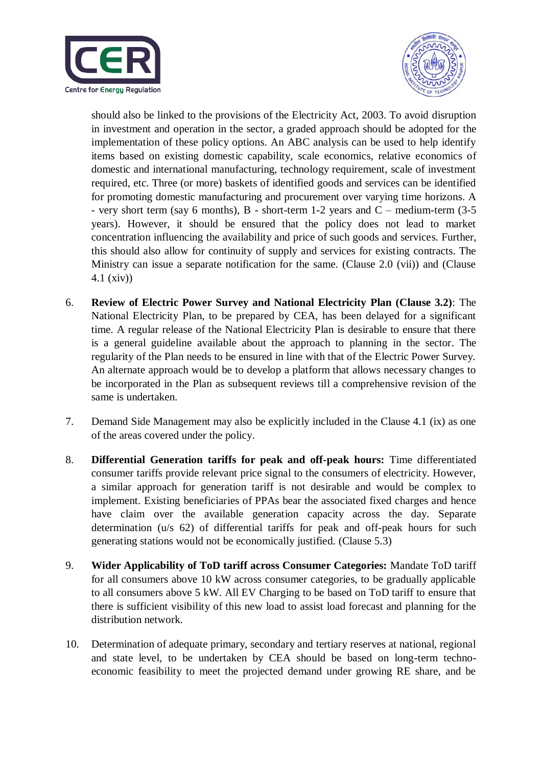



should also be linked to the provisions of the Electricity Act, 2003. To avoid disruption in investment and operation in the sector, a graded approach should be adopted for the implementation of these policy options. An ABC analysis can be used to help identify items based on existing domestic capability, scale economics, relative economics of domestic and international manufacturing, technology requirement, scale of investment required, etc. Three (or more) baskets of identified goods and services can be identified for promoting domestic manufacturing and procurement over varying time horizons. A - very short term (say 6 months),  $B$  - short-term 1-2 years and  $C$  – medium-term (3-5) years). However, it should be ensured that the policy does not lead to market concentration influencing the availability and price of such goods and services. Further, this should also allow for continuity of supply and services for existing contracts. The Ministry can issue a separate notification for the same. (Clause 2.0 (vii)) and (Clause 4.1 (xiv))

- 6. **Review of Electric Power Survey and National Electricity Plan (Clause 3.2)**: The National Electricity Plan, to be prepared by CEA, has been delayed for a significant time. A regular release of the National Electricity Plan is desirable to ensure that there is a general guideline available about the approach to planning in the sector. The regularity of the Plan needs to be ensured in line with that of the Electric Power Survey. An alternate approach would be to develop a platform that allows necessary changes to be incorporated in the Plan as subsequent reviews till a comprehensive revision of the same is undertaken.
- 7. Demand Side Management may also be explicitly included in the Clause 4.1 (ix) as one of the areas covered under the policy.
- 8. **Differential Generation tariffs for peak and off-peak hours:** Time differentiated consumer tariffs provide relevant price signal to the consumers of electricity. However, a similar approach for generation tariff is not desirable and would be complex to implement. Existing beneficiaries of PPAs bear the associated fixed charges and hence have claim over the available generation capacity across the day. Separate determination (u/s 62) of differential tariffs for peak and off-peak hours for such generating stations would not be economically justified. (Clause 5.3)
- 9. **Wider Applicability of ToD tariff across Consumer Categories:** Mandate ToD tariff for all consumers above 10 kW across consumer categories, to be gradually applicable to all consumers above 5 kW. All EV Charging to be based on ToD tariff to ensure that there is sufficient visibility of this new load to assist load forecast and planning for the distribution network.
- 10. Determination of adequate primary, secondary and tertiary reserves at national, regional and state level, to be undertaken by CEA should be based on long-term technoeconomic feasibility to meet the projected demand under growing RE share, and be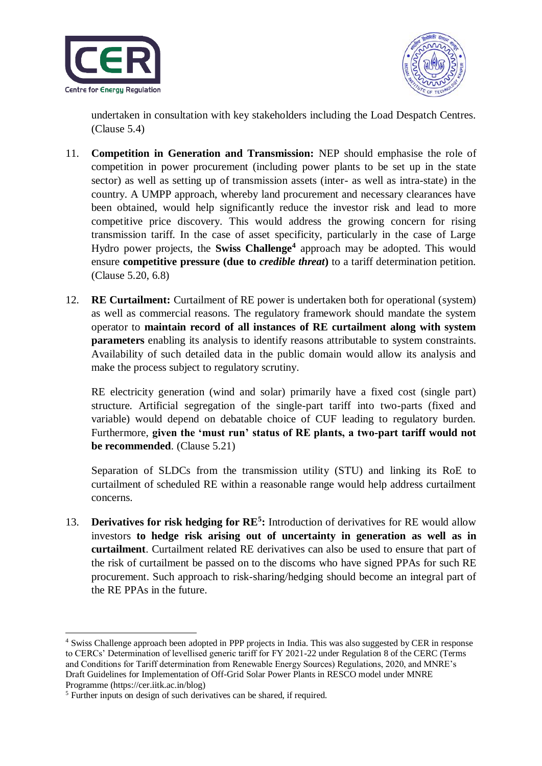



undertaken in consultation with key stakeholders including the Load Despatch Centres. (Clause 5.4)

- 11. **Competition in Generation and Transmission:** NEP should emphasise the role of competition in power procurement (including power plants to be set up in the state sector) as well as setting up of transmission assets (inter- as well as intra-state) in the country. A UMPP approach, whereby land procurement and necessary clearances have been obtained, would help significantly reduce the investor risk and lead to more competitive price discovery. This would address the growing concern for rising transmission tariff. In the case of asset specificity, particularly in the case of Large Hydro power projects, the **Swiss Challenge<sup>4</sup>** approach may be adopted. This would ensure **competitive pressure (due to** *credible threat***)** to a tariff determination petition. (Clause 5.20, 6.8)
- 12. **RE Curtailment:** Curtailment of RE power is undertaken both for operational (system) as well as commercial reasons. The regulatory framework should mandate the system operator to **maintain record of all instances of RE curtailment along with system parameters** enabling its analysis to identify reasons attributable to system constraints. Availability of such detailed data in the public domain would allow its analysis and make the process subject to regulatory scrutiny.

RE electricity generation (wind and solar) primarily have a fixed cost (single part) structure. Artificial segregation of the single-part tariff into two-parts (fixed and variable) would depend on debatable choice of CUF leading to regulatory burden. Furthermore, **given the 'must run' status of RE plants, a two-part tariff would not be recommended**. (Clause 5.21)

Separation of SLDCs from the transmission utility (STU) and linking its RoE to curtailment of scheduled RE within a reasonable range would help address curtailment concerns.

13. **Derivatives for risk hedging for RE<sup>5</sup>:** Introduction of derivatives for RE would allow investors **to hedge risk arising out of uncertainty in generation as well as in curtailment**. Curtailment related RE derivatives can also be used to ensure that part of the risk of curtailment be passed on to the discoms who have signed PPAs for such RE procurement. Such approach to risk-sharing/hedging should become an integral part of the RE PPAs in the future.

**.** 

<sup>4</sup> Swiss Challenge approach been adopted in PPP projects in India. This was also suggested by CER in response to CERCs' Determination of levellised generic tariff for FY 2021-22 under Regulation 8 of the CERC (Terms and Conditions for Tariff determination from Renewable Energy Sources) Regulations, 2020, and MNRE's Draft Guidelines for Implementation of Off-Grid Solar Power Plants in RESCO model under MNRE Programme (https://cer.iitk.ac.in/blog)

<sup>&</sup>lt;sup>5</sup> Further inputs on design of such derivatives can be shared, if required.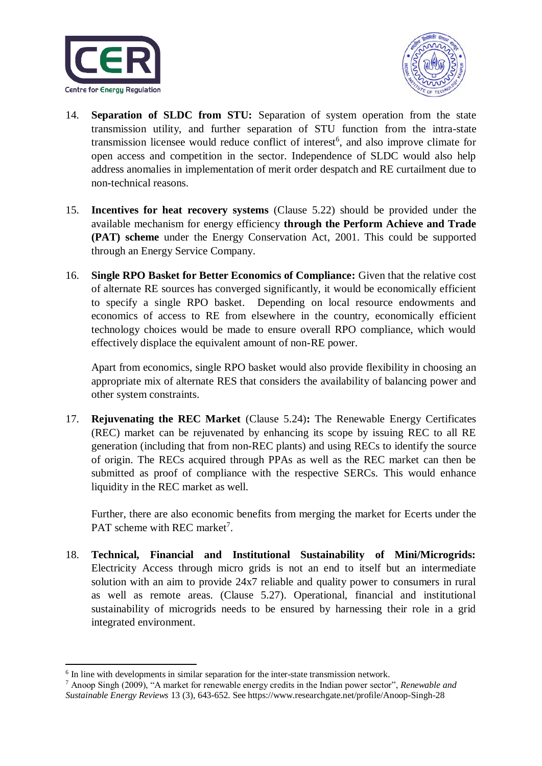



- 14. **Separation of SLDC from STU:** Separation of system operation from the state transmission utility, and further separation of STU function from the intra-state transmission licensee would reduce conflict of interest<sup>6</sup>, and also improve climate for open access and competition in the sector. Independence of SLDC would also help address anomalies in implementation of merit order despatch and RE curtailment due to non-technical reasons.
- 15. **Incentives for heat recovery systems** (Clause 5.22) should be provided under the available mechanism for energy efficiency **through the Perform Achieve and Trade (PAT) scheme** under the Energy Conservation Act, 2001. This could be supported through an Energy Service Company.
- 16. **Single RPO Basket for Better Economics of Compliance:** Given that the relative cost of alternate RE sources has converged significantly, it would be economically efficient to specify a single RPO basket. Depending on local resource endowments and economics of access to RE from elsewhere in the country, economically efficient technology choices would be made to ensure overall RPO compliance, which would effectively displace the equivalent amount of non-RE power.

Apart from economics, single RPO basket would also provide flexibility in choosing an appropriate mix of alternate RES that considers the availability of balancing power and other system constraints.

17. **Rejuvenating the REC Market** (Clause 5.24)**:** The Renewable Energy Certificates (REC) market can be rejuvenated by enhancing its scope by issuing REC to all RE generation (including that from non-REC plants) and using RECs to identify the source of origin. The RECs acquired through PPAs as well as the REC market can then be submitted as proof of compliance with the respective SERCs. This would enhance liquidity in the REC market as well.

Further, there are also economic benefits from merging the market for Ecerts under the PAT scheme with REC market<sup>7</sup>.

18. **Technical, Financial and Institutional Sustainability of Mini/Microgrids:**  Electricity Access through micro grids is not an end to itself but an intermediate solution with an aim to provide 24x7 reliable and quality power to consumers in rural as well as remote areas. (Clause 5.27). Operational, financial and institutional sustainability of microgrids needs to be ensured by harnessing their role in a grid integrated environment.

1

<sup>&</sup>lt;sup>6</sup> In line with developments in similar separation for the inter-state transmission network.

<sup>7</sup> Anoop Singh (2009), "A market for renewable energy credits in the Indian power sector", *Renewable and Sustainable Energy Reviews* 13 (3), 643-652. See https://www.researchgate.net/profile/Anoop-Singh-28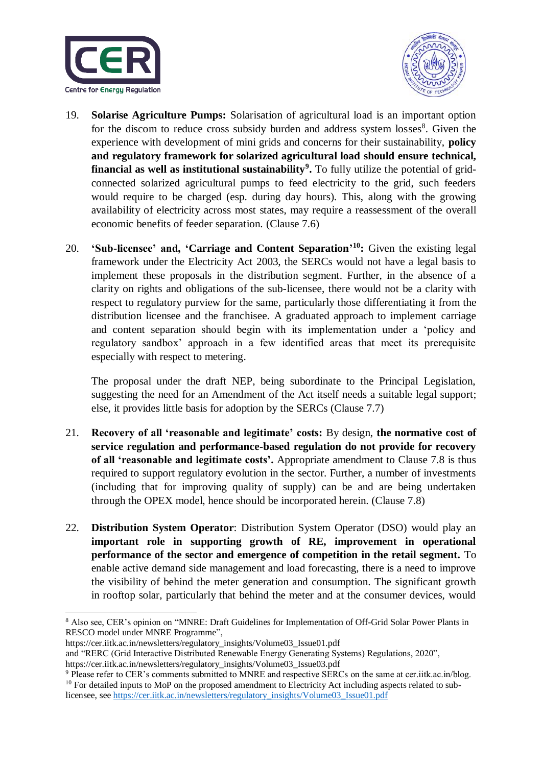



- 19. **Solarise Agriculture Pumps:** Solarisation of agricultural load is an important option for the discom to reduce cross subsidy burden and address system losses<sup>8</sup>. Given the experience with development of mini grids and concerns for their sustainability, **policy and regulatory framework for solarized agricultural load should ensure technical, financial as well as institutional sustainability<sup>9</sup> .** To fully utilize the potential of gridconnected solarized agricultural pumps to feed electricity to the grid, such feeders would require to be charged (esp. during day hours). This, along with the growing availability of electricity across most states, may require a reassessment of the overall economic benefits of feeder separation. (Clause 7.6)
- 20. **'Sub-licensee' and, 'Carriage and Content Separation' <sup>10</sup>:** Given the existing legal framework under the Electricity Act 2003, the SERCs would not have a legal basis to implement these proposals in the distribution segment. Further, in the absence of a clarity on rights and obligations of the sub-licensee, there would not be a clarity with respect to regulatory purview for the same, particularly those differentiating it from the distribution licensee and the franchisee. A graduated approach to implement carriage and content separation should begin with its implementation under a 'policy and regulatory sandbox' approach in a few identified areas that meet its prerequisite especially with respect to metering.

The proposal under the draft NEP, being subordinate to the Principal Legislation, suggesting the need for an Amendment of the Act itself needs a suitable legal support; else, it provides little basis for adoption by the SERCs (Clause 7.7)

- 21. **Recovery of all 'reasonable and legitimate' costs:** By design, **the normative cost of service regulation and performance-based regulation do not provide for recovery of all 'reasonable and legitimate costs'.** Appropriate amendment to Clause 7.8 is thus required to support regulatory evolution in the sector. Further, a number of investments (including that for improving quality of supply) can be and are being undertaken through the OPEX model, hence should be incorporated herein. (Clause 7.8)
- 22. **Distribution System Operator**: Distribution System Operator (DSO) would play an **important role in supporting growth of RE, improvement in operational performance of the sector and emergence of competition in the retail segment.** To enable active demand side management and load forecasting, there is a need to improve the visibility of behind the meter generation and consumption. The significant growth in rooftop solar, particularly that behind the meter and at the consumer devices, would

```
https://cer.iitk.ac.in/newsletters/regulatory_insights/Volume03_Issue01.pdf
```
**<sup>.</sup>** <sup>8</sup> Also see, CER's opinion on "MNRE: Draft Guidelines for Implementation of Off-Grid Solar Power Plants in RESCO model under MNRE Programme",

and "RERC (Grid Interactive Distributed Renewable Energy Generating Systems) Regulations, 2020", https://cer.iitk.ac.in/newsletters/regulatory\_insights/Volume03\_Issue03.pdf

<sup>9</sup> Please refer to CER's comments submitted to MNRE and respective SERCs on the same at cer.iitk.ac.in/blog. <sup>10</sup> For detailed inputs to MoP on the proposed amendment to Electricity Act including aspects related to sublicensee, se[e https://cer.iitk.ac.in/newsletters/regulatory\\_insights/Volume03\\_Issue01.pdf](https://cer.iitk.ac.in/newsletters/regulatory_insights/Volume03_Issue01.pdf)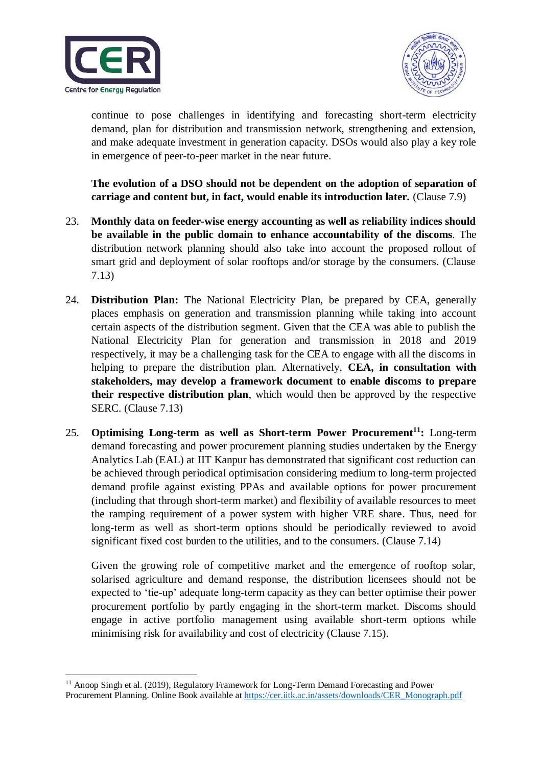



continue to pose challenges in identifying and forecasting short-term electricity demand, plan for distribution and transmission network, strengthening and extension, and make adequate investment in generation capacity. DSOs would also play a key role in emergence of peer-to-peer market in the near future.

**The evolution of a DSO should not be dependent on the adoption of separation of carriage and content but, in fact, would enable its introduction later.** (Clause 7.9)

- 23. **Monthly data on feeder-wise energy accounting as well as reliability indices should be available in the public domain to enhance accountability of the discoms**. The distribution network planning should also take into account the proposed rollout of smart grid and deployment of solar rooftops and/or storage by the consumers. (Clause 7.13)
- 24. **Distribution Plan:** The National Electricity Plan, be prepared by CEA, generally places emphasis on generation and transmission planning while taking into account certain aspects of the distribution segment. Given that the CEA was able to publish the National Electricity Plan for generation and transmission in 2018 and 2019 respectively, it may be a challenging task for the CEA to engage with all the discoms in helping to prepare the distribution plan. Alternatively, **CEA, in consultation with stakeholders, may develop a framework document to enable discoms to prepare their respective distribution plan**, which would then be approved by the respective SERC. (Clause 7.13)
- 25. **Optimising Long-term as well as Short-term Power Procurement<sup>11</sup>:** Long-term demand forecasting and power procurement planning studies undertaken by the Energy Analytics Lab (EAL) at IIT Kanpur has demonstrated that significant cost reduction can be achieved through periodical optimisation considering medium to long-term projected demand profile against existing PPAs and available options for power procurement (including that through short-term market) and flexibility of available resources to meet the ramping requirement of a power system with higher VRE share. Thus, need for long-term as well as short-term options should be periodically reviewed to avoid significant fixed cost burden to the utilities, and to the consumers. (Clause 7.14)

Given the growing role of competitive market and the emergence of rooftop solar, solarised agriculture and demand response, the distribution licensees should not be expected to 'tie-up' adequate long-term capacity as they can better optimise their power procurement portfolio by partly engaging in the short-term market. Discoms should engage in active portfolio management using available short-term options while minimising risk for availability and cost of electricity (Clause 7.15).

**<sup>.</sup>** <sup>11</sup> Anoop Singh et al. (2019), Regulatory Framework for Long-Term Demand Forecasting and Power Procurement Planning. Online Book available at [https://cer.iitk.ac.in/assets/downloads/CER\\_Monograph.pdf](https://cer.iitk.ac.in/assets/downloads/CER_Monograph.pdf)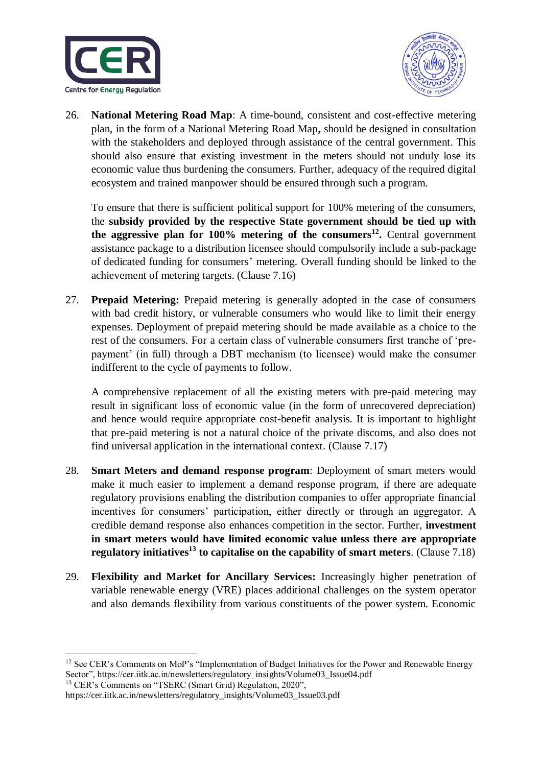



26. **National Metering Road Map**: A time-bound, consistent and cost-effective metering plan, in the form of a National Metering Road Map**,** should be designed in consultation with the stakeholders and deployed through assistance of the central government. This should also ensure that existing investment in the meters should not unduly lose its economic value thus burdening the consumers. Further, adequacy of the required digital ecosystem and trained manpower should be ensured through such a program.

To ensure that there is sufficient political support for 100% metering of the consumers, the **subsidy provided by the respective State government should be tied up with the aggressive plan for 100% metering of the consumers<sup>12</sup> .** Central government assistance package to a distribution licensee should compulsorily include a sub-package of dedicated funding for consumers' metering. Overall funding should be linked to the achievement of metering targets. (Clause 7.16)

27. **Prepaid Metering:** Prepaid metering is generally adopted in the case of consumers with bad credit history, or vulnerable consumers who would like to limit their energy expenses. Deployment of prepaid metering should be made available as a choice to the rest of the consumers. For a certain class of vulnerable consumers first tranche of 'prepayment' (in full) through a DBT mechanism (to licensee) would make the consumer indifferent to the cycle of payments to follow.

A comprehensive replacement of all the existing meters with pre-paid metering may result in significant loss of economic value (in the form of unrecovered depreciation) and hence would require appropriate cost-benefit analysis. It is important to highlight that pre-paid metering is not a natural choice of the private discoms, and also does not find universal application in the international context. (Clause 7.17)

- 28. **Smart Meters and demand response program**: Deployment of smart meters would make it much easier to implement a demand response program, if there are adequate regulatory provisions enabling the distribution companies to offer appropriate financial incentives for consumers' participation, either directly or through an aggregator. A credible demand response also enhances competition in the sector. Further, **investment in smart meters would have limited economic value unless there are appropriate regulatory initiatives<sup>13</sup> to capitalise on the capability of smart meters**. (Clause 7.18)
- 29. **Flexibility and Market for Ancillary Services:** Increasingly higher penetration of variable renewable energy (VRE) places additional challenges on the system operator and also demands flexibility from various constituents of the power system. Economic

<sup>13</sup> CER's Comments on "TSERC (Smart Grid) Regulation, 2020",

1

 $12$  See CER's Comments on MoP's "Implementation of Budget Initiatives for the Power and Renewable Energy Sector", https://cer.iitk.ac.in/newsletters/regulatory\_insights/Volume03\_Issue04.pdf

https://cer.iitk.ac.in/newsletters/regulatory\_insights/Volume03\_Issue03.pdf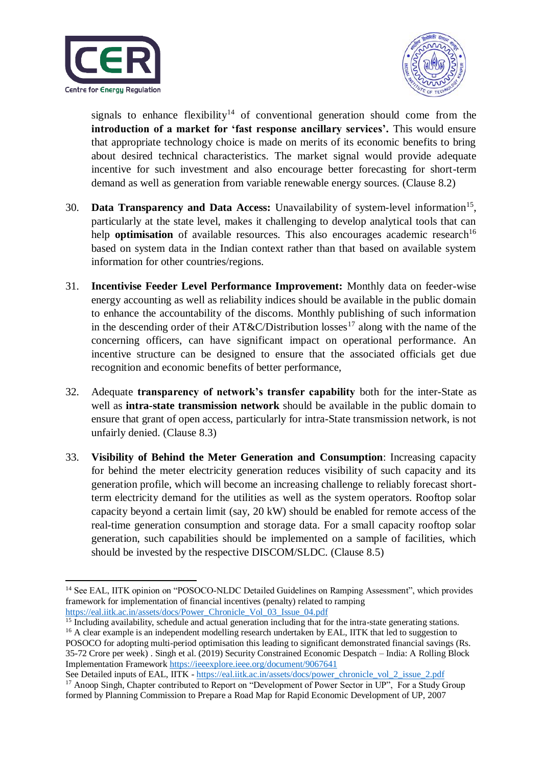



signals to enhance flexibility<sup>14</sup> of conventional generation should come from the **introduction of a market for 'fast response ancillary services'.** This would ensure that appropriate technology choice is made on merits of its economic benefits to bring about desired technical characteristics. The market signal would provide adequate incentive for such investment and also encourage better forecasting for short-term demand as well as generation from variable renewable energy sources. (Clause 8.2)

- 30. Data Transparency and Data Access: Unavailability of system-level information<sup>15</sup>, particularly at the state level, makes it challenging to develop analytical tools that can help **optimisation** of available resources. This also encourages academic research<sup>16</sup> based on system data in the Indian context rather than that based on available system information for other countries/regions.
- 31. **Incentivise Feeder Level Performance Improvement:** Monthly data on feeder-wise energy accounting as well as reliability indices should be available in the public domain to enhance the accountability of the discoms. Monthly publishing of such information in the descending order of their AT&C/Distribution losses<sup>17</sup> along with the name of the concerning officers, can have significant impact on operational performance. An incentive structure can be designed to ensure that the associated officials get due recognition and economic benefits of better performance,
- 32. Adequate **transparency of network's transfer capability** both for the inter-State as well as **intra-state transmission network** should be available in the public domain to ensure that grant of open access, particularly for intra-State transmission network, is not unfairly denied. (Clause 8.3)
- 33. **Visibility of Behind the Meter Generation and Consumption**: Increasing capacity for behind the meter electricity generation reduces visibility of such capacity and its generation profile, which will become an increasing challenge to reliably forecast shortterm electricity demand for the utilities as well as the system operators. Rooftop solar capacity beyond a certain limit (say, 20 kW) should be enabled for remote access of the real-time generation consumption and storage data. For a small capacity rooftop solar generation, such capabilities should be implemented on a sample of facilities, which should be invested by the respective DISCOM/SLDC. (Clause 8.5)

**<sup>.</sup>** <sup>14</sup> See EAL, IITK opinion on "POSOCO-NLDC Detailed Guidelines on Ramping Assessment", which provides framework for implementation of financial incentives (penalty) related to ramping [https://eal.iitk.ac.in/assets/docs/Power\\_Chronicle\\_Vol\\_03\\_Issue\\_04.pdf](https://eal.iitk.ac.in/assets/docs/Power_Chronicle_Vol_03_Issue_04.pdf)

 $\frac{15}{15}$  Including availability, schedule and actual generation including that for the intra-state generating stations. <sup>16</sup> A clear example is an independent modelling research undertaken by EAL, IITK that led to suggestion to POSOCO for adopting multi-period optimisation this leading to significant demonstrated financial savings (Rs. 35-72 Crore per week) . Singh et al. (2019) Security Constrained Economic Despatch – India: A Rolling Block Implementation Framewor[k https://ieeexplore.ieee.org/document/9067641](https://ieeexplore.ieee.org/document/9067641)

See Detailed inputs of EAL, IITK - [https://eal.iitk.ac.in/assets/docs/power\\_chronicle\\_vol\\_2\\_issue\\_2.pdf](https://eal.iitk.ac.in/assets/docs/power_chronicle_vol_2_issue_2.pdf) <sup>17</sup> Anoop Singh, Chapter contributed to Report on "Development of Power Sector in UP", For a Study Group formed by Planning Commission to Prepare a Road Map for Rapid Economic Development of UP, 2007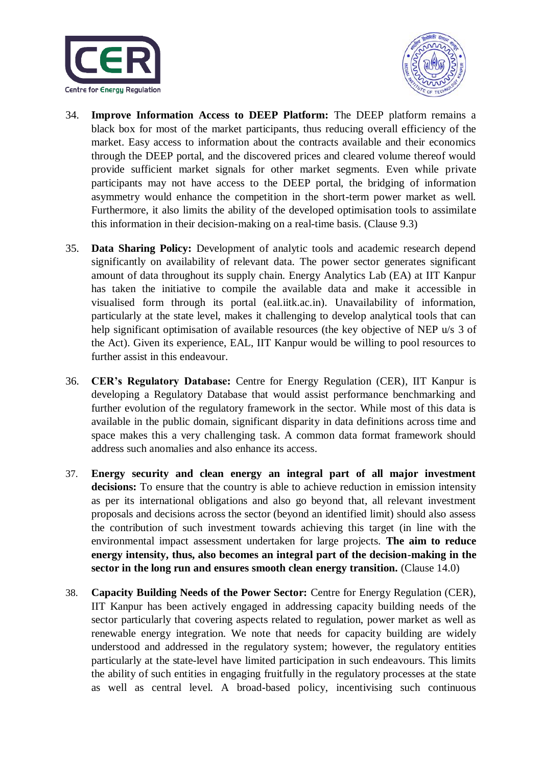



- 34. **Improve Information Access to DEEP Platform:** The DEEP platform remains a black box for most of the market participants, thus reducing overall efficiency of the market. Easy access to information about the contracts available and their economics through the DEEP portal, and the discovered prices and cleared volume thereof would provide sufficient market signals for other market segments. Even while private participants may not have access to the DEEP portal, the bridging of information asymmetry would enhance the competition in the short-term power market as well. Furthermore, it also limits the ability of the developed optimisation tools to assimilate this information in their decision-making on a real-time basis. (Clause 9.3)
- 35. **Data Sharing Policy:** Development of analytic tools and academic research depend significantly on availability of relevant data. The power sector generates significant amount of data throughout its supply chain. Energy Analytics Lab (EA) at IIT Kanpur has taken the initiative to compile the available data and make it accessible in visualised form through its portal (eal.iitk.ac.in). Unavailability of information, particularly at the state level, makes it challenging to develop analytical tools that can help significant optimisation of available resources (the key objective of NEP u/s 3 of the Act). Given its experience, EAL, IIT Kanpur would be willing to pool resources to further assist in this endeavour.
- 36. **CER's Regulatory Database:** Centre for Energy Regulation (CER), IIT Kanpur is developing a Regulatory Database that would assist performance benchmarking and further evolution of the regulatory framework in the sector. While most of this data is available in the public domain, significant disparity in data definitions across time and space makes this a very challenging task. A common data format framework should address such anomalies and also enhance its access.
- 37. **Energy security and clean energy an integral part of all major investment decisions:** To ensure that the country is able to achieve reduction in emission intensity as per its international obligations and also go beyond that, all relevant investment proposals and decisions across the sector (beyond an identified limit) should also assess the contribution of such investment towards achieving this target (in line with the environmental impact assessment undertaken for large projects. **The aim to reduce energy intensity, thus, also becomes an integral part of the decision-making in the sector in the long run and ensures smooth clean energy transition.** (Clause 14.0)
- 38. **Capacity Building Needs of the Power Sector:** Centre for Energy Regulation (CER), IIT Kanpur has been actively engaged in addressing capacity building needs of the sector particularly that covering aspects related to regulation, power market as well as renewable energy integration. We note that needs for capacity building are widely understood and addressed in the regulatory system; however, the regulatory entities particularly at the state-level have limited participation in such endeavours. This limits the ability of such entities in engaging fruitfully in the regulatory processes at the state as well as central level. A broad-based policy, incentivising such continuous